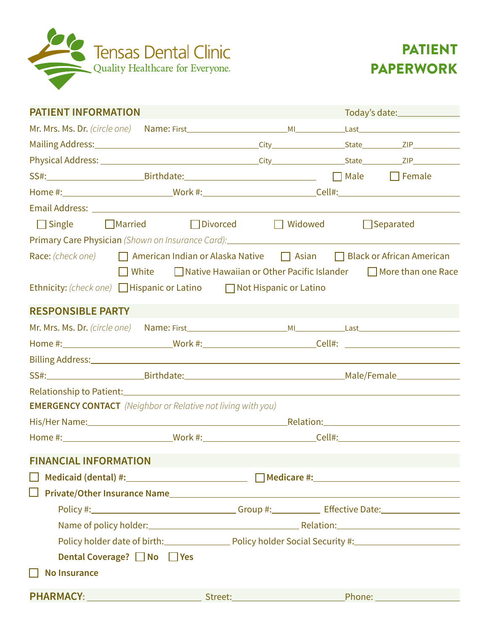



| <b>PATIENT INFORMATION</b>                                                                                                                                                                                                     |                                                                                                                | Today's date:_________________ |  |                                                                                                |                  |  |  |
|--------------------------------------------------------------------------------------------------------------------------------------------------------------------------------------------------------------------------------|----------------------------------------------------------------------------------------------------------------|--------------------------------|--|------------------------------------------------------------------------------------------------|------------------|--|--|
|                                                                                                                                                                                                                                |                                                                                                                |                                |  |                                                                                                |                  |  |  |
| Mailing Address: 1992 and 2010 and 2011 and 2010 and 2010 and 2010 and 2011 and 2011 and 2012 and 2012 and 201                                                                                                                 |                                                                                                                |                                |  |                                                                                                |                  |  |  |
|                                                                                                                                                                                                                                |                                                                                                                |                                |  |                                                                                                |                  |  |  |
|                                                                                                                                                                                                                                |                                                                                                                |                                |  |                                                                                                |                  |  |  |
|                                                                                                                                                                                                                                |                                                                                                                |                                |  |                                                                                                |                  |  |  |
|                                                                                                                                                                                                                                |                                                                                                                |                                |  |                                                                                                |                  |  |  |
|                                                                                                                                                                                                                                | □ Single    □ Married       □ Divorced          Widowed                                                        |                                |  |                                                                                                | $\Box$ Separated |  |  |
| Primary Care Physician (Shown on Insurance Card): 2008 2014 2016 2017 2018 2019 2019 2019 2019 2019 2019 2019                                                                                                                  |                                                                                                                |                                |  |                                                                                                |                  |  |  |
| Race: (check one) <b>Comparison Indian or Alaska Native Comparison</b> Black or African American                                                                                                                               |                                                                                                                |                                |  |                                                                                                |                  |  |  |
|                                                                                                                                                                                                                                | $\Box$ White $\Box$ Native Hawaiian or Other Pacific Islander $\Box$ More than one Race                        |                                |  |                                                                                                |                  |  |  |
| Ethnicity: (check one) Hispanic or Latino Mot Hispanic or Latino                                                                                                                                                               |                                                                                                                |                                |  |                                                                                                |                  |  |  |
| <b>RESPONSIBLE PARTY</b>                                                                                                                                                                                                       |                                                                                                                |                                |  |                                                                                                |                  |  |  |
|                                                                                                                                                                                                                                |                                                                                                                |                                |  |                                                                                                |                  |  |  |
|                                                                                                                                                                                                                                |                                                                                                                |                                |  |                                                                                                |                  |  |  |
|                                                                                                                                                                                                                                |                                                                                                                |                                |  |                                                                                                |                  |  |  |
|                                                                                                                                                                                                                                |                                                                                                                |                                |  |                                                                                                |                  |  |  |
|                                                                                                                                                                                                                                |                                                                                                                |                                |  |                                                                                                |                  |  |  |
| <b>EMERGENCY CONTACT</b> (Neighbor or Relative not living with you)                                                                                                                                                            |                                                                                                                |                                |  |                                                                                                |                  |  |  |
|                                                                                                                                                                                                                                |                                                                                                                |                                |  |                                                                                                |                  |  |  |
|                                                                                                                                                                                                                                |                                                                                                                |                                |  |                                                                                                |                  |  |  |
| <b>FINANCIAL INFORMATION</b>                                                                                                                                                                                                   |                                                                                                                |                                |  |                                                                                                |                  |  |  |
|                                                                                                                                                                                                                                |                                                                                                                |                                |  |                                                                                                |                  |  |  |
|                                                                                                                                                                                                                                |                                                                                                                |                                |  |                                                                                                |                  |  |  |
|                                                                                                                                                                                                                                | Policy #: 1.2008 Marshall Marshall Stroup #: 1.2008 Marshall Date: 1.2008 Marshall Date: 1.2008 Marshall Date: |                                |  |                                                                                                |                  |  |  |
|                                                                                                                                                                                                                                |                                                                                                                |                                |  |                                                                                                |                  |  |  |
|                                                                                                                                                                                                                                |                                                                                                                |                                |  | Policy holder date of birth: Policy holder Social Security #: Policy holder Social Security #: |                  |  |  |
|                                                                                                                                                                                                                                | Dental Coverage? No DYes                                                                                       |                                |  |                                                                                                |                  |  |  |
| <b>No Insurance</b>                                                                                                                                                                                                            |                                                                                                                |                                |  |                                                                                                |                  |  |  |
| PHARMACY: Street: Phone: Phone: Phone: Phone: Phone: Phone: Phone: Phone: Phone: Phone: Phone: Phone: Phone: Phone: Phone: Phone: Phone: Phone: Phone: Phone: Phone: Phone: Phone: Phone: Phone: Phone: Phone: Phone: Phone: P |                                                                                                                |                                |  |                                                                                                |                  |  |  |
|                                                                                                                                                                                                                                |                                                                                                                |                                |  |                                                                                                |                  |  |  |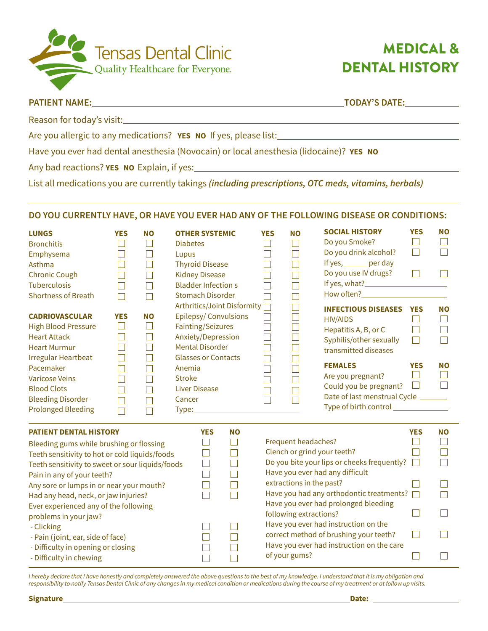

# MEDICAL & DENTAL HISTORY

# **PATIENT NAME: TODAY'S DATE:**

 $\overline{a}$ 

Reason for today's visit:

Are you allergic to any medications? **YES NO** If yes, please list:

Have you ever had dental anesthesia (Novocain) or local anesthesia (lidocaine)? **YES NO**

Any bad reactions? **YES NO** Explain, if yes:

List all medications you are currently takings *(including prescriptions, OTC meds, vitamins, herbals)*

## **DO YOU CURRENTLY HAVE, OR HAVE YOU EVER HAD ANY OF THE FOLLOWING DISEASE OR CONDITIONS:**

| <b>LUNGS</b><br><b>Bronchitis</b><br>Emphysema<br>Asthma<br><b>Chronic Cough</b><br><b>Tuberculosis</b><br><b>Shortness of Breath</b>                                                                         | <b>YES</b>                                     | <b>NO</b> | <b>OTHER SYSTEMIC</b><br><b>Diabetes</b><br>Lupus<br><b>Thyroid Disease</b><br><b>Kidney Disease</b><br><b>Bladder Infections</b><br><b>Stomach Disorder</b> |            |                                              | <b>YES</b><br>$\Box$<br>$\Box$<br>$\Box$<br>П  | <b>NO</b>                                          | <b>SOCIAL HISTORY</b><br>Do you Smoke?<br>Do you drink alcohol?<br>If yes, ______ per day<br>Do you use IV drugs?                             | <b>YES</b><br>$\Box$<br>$\Box$<br>$\Box$ | <b>NO</b><br>$\Box$ |
|---------------------------------------------------------------------------------------------------------------------------------------------------------------------------------------------------------------|------------------------------------------------|-----------|--------------------------------------------------------------------------------------------------------------------------------------------------------------|------------|----------------------------------------------|------------------------------------------------|----------------------------------------------------|-----------------------------------------------------------------------------------------------------------------------------------------------|------------------------------------------|---------------------|
| <b>CADRIOVASCULAR</b><br><b>High Blood Pressure</b><br><b>Heart Attack</b><br><b>Heart Murmur</b><br><b>Irregular Heartbeat</b>                                                                               | <b>YES</b><br>$\Box$<br>$\mathbf{I}$<br>$\Box$ | <b>NO</b> | <b>Epilepsy/Convulsions</b><br>Fainting/Seizures<br>Anxiety/Depression<br><b>Mental Disorder</b><br><b>Glasses or Contacts</b>                               |            | Arthritics/Joint Disformity [                | $\Box$<br>$\Box$<br>$\Box$<br>$\Box$<br>$\Box$ |                                                    | <b>INFECTIOUS DISEASES YES</b><br><b>HIV/AIDS</b><br>Hepatitis A, B, or C<br>Syphilis/other sexually<br>transmitted diseases                  | $\mathbf{1}$<br>$\Box$<br>$\Box$         | <b>NO</b><br>$\Box$ |
| Pacemaker<br><b>Varicose Veins</b><br><b>Blood Clots</b><br><b>Bleeding Disorder</b><br><b>Prolonged Bleeding</b>                                                                                             |                                                |           | Anemia<br><b>Stroke</b><br><b>Liver Disease</b><br>Cancer<br><b>Type:_____________</b>                                                                       |            |                                              | $\Box$<br>$\Box$<br>$\Box$<br>$\Box$           |                                                    | <b>FEMALES</b><br>Are you pregnant?<br>Could you be pregnant?<br>Date of last menstrual Cycle _______<br>Type of birth control ______________ | <b>YES</b><br>$\Box$<br>$\Box$           | <b>NO</b>           |
| <b>PATIENT DENTAL HISTORY</b><br>Bleeding gums while brushing or flossing<br>Teeth sensitivity to hot or cold liquids/foods<br>Teeth sensitivity to sweet or sour liquids/foods<br>Pain in any of your teeth? |                                                |           |                                                                                                                                                              | <b>YES</b> | <b>NO</b><br>$\Box$<br>$\Box$<br>Г<br>$\Box$ |                                                | Frequent headaches?                                | Clench or grind your teeth?<br>Do you bite your lips or cheeks frequently?<br>Have you ever had any difficult                                 | <b>YES</b>                               | <b>NO</b>           |
| Any sore or lumps in or near your mouth?<br>Had any head, neck, or jaw injuries?<br>Ever experienced any of the following<br>problems in your jaw?                                                            |                                                |           |                                                                                                                                                              |            | Г                                            |                                                | extractions in the past?<br>following extractions? | Have you had any orthodontic treatments?<br>Have you ever had prolonged bleeding                                                              |                                          |                     |
| - Clicking<br>- Pain (joint, ear, side of face)<br>- Difficulty in opening or closing<br>- Difficulty in chewing                                                                                              |                                                |           |                                                                                                                                                              |            |                                              |                                                | of your gums?                                      | Have you ever had instruction on the<br>correct method of brushing your teeth?<br>Have you ever had instruction on the care                   | H                                        |                     |

*I hereby declare that I have honestly and completely answered the above questions to the best of my knowledge. I understand that it is my obligation and responsibility to notify Tensas Dental Clinic of any changes in my medical condition or medications during the course of my treatment or at follow up visits.*